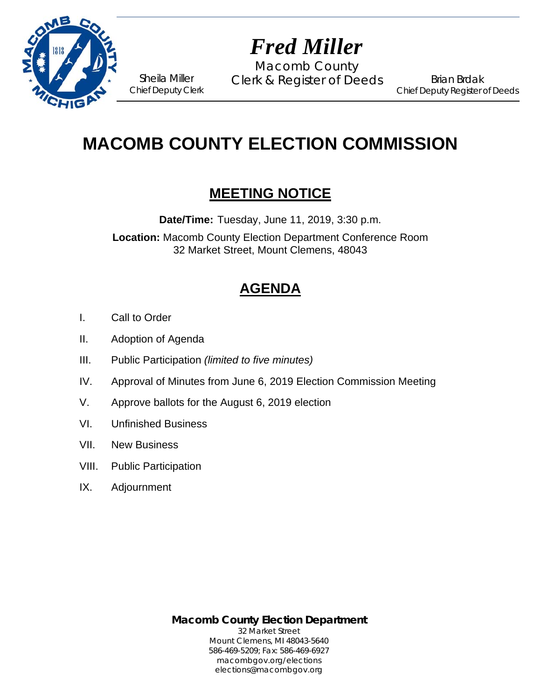

# *Fred Miller*

Macomb County Sheila Miller Clerk & Register of Deeds

Brian Brdak Chief Deputy Register of Deeds

## **MACOMB COUNTY ELECTION COMMISSION**

### **MEETING NOTICE**

**Date/Time:** Tuesday, June 11, 2019, 3:30 p.m.

**Location:** Macomb County Election Department Conference Room 32 Market Street, Mount Clemens, 48043

## **AGENDA**

- I. Call to Order
- II. Adoption of Agenda

Chief Deputy Clerk

- III. Public Participation *(limited to five minutes)*
- IV. Approval of Minutes from June 6, 2019 Election Commission Meeting
- V. Approve ballots for the August 6, 2019 election
- VI. Unfinished Business
- VII. New Business
- VIII. Public Participation
- IX. Adjournment

**Macomb County Election Department** 32 Market Street Mount Clemens, MI 48043-5640 586-469-5209; Fax: 586-469-6927 macombgov.org/elections elections@macombgov.org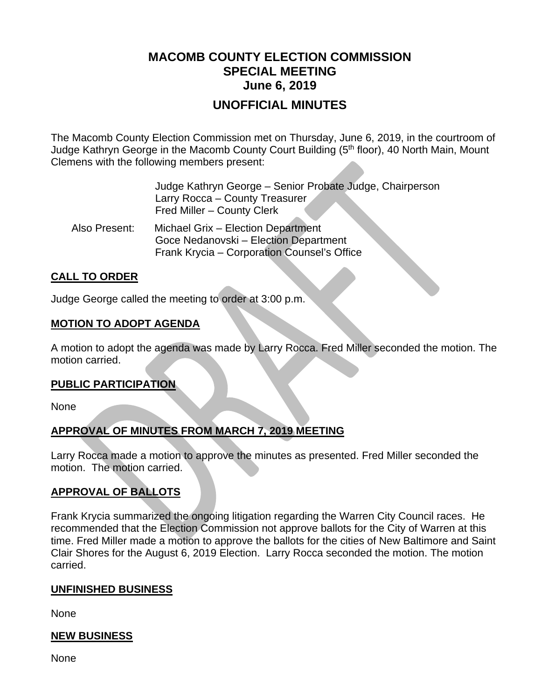### **MACOMB COUNTY ELECTION COMMISSION SPECIAL MEETING June 6, 2019**

#### **UNOFFICIAL MINUTES**

The Macomb County Election Commission met on Thursday, June 6, 2019, in the courtroom of Judge Kathryn George in the Macomb County Court Building (5<sup>th</sup> floor), 40 North Main, Mount Clemens with the following members present:

|               | Judge Kathryn George – Senior Probate Judge, Chairperson<br>Larry Rocca - County Treasurer<br>Fred Miller - County Clerk |
|---------------|--------------------------------------------------------------------------------------------------------------------------|
| Also Present: | Michael Grix - Election Department<br>Goce Nedanovski - Election Department                                              |

#### Frank Krycia – Corporation Counsel's Office

#### **CALL TO ORDER**

Judge George called the meeting to order at 3:00 p.m.

#### **MOTION TO ADOPT AGENDA**

A motion to adopt the agenda was made by Larry Rocca. Fred Miller seconded the motion. The motion carried.

#### **PUBLIC PARTICIPATION**

None

#### **APPROVAL OF MINUTES FROM MARCH 7, 2019 MEETING**

Larry Rocca made a motion to approve the minutes as presented. Fred Miller seconded the motion. The motion carried.

#### **APPROVAL OF BALLOTS**

Frank Krycia summarized the ongoing litigation regarding the Warren City Council races. He recommended that the Election Commission not approve ballots for the City of Warren at this time. Fred Miller made a motion to approve the ballots for the cities of New Baltimore and Saint Clair Shores for the August 6, 2019 Election. Larry Rocca seconded the motion. The motion carried.

#### **UNFINISHED BUSINESS**

None

#### **NEW BUSINESS**

None